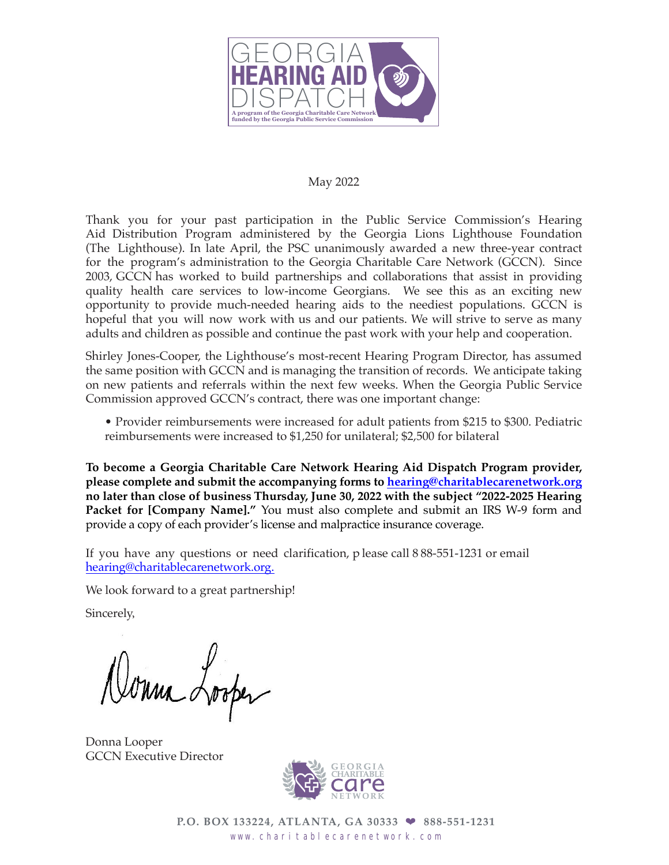

#### May 2022

Thank you for your past participation in the Public Service Commission's Hearing Aid Distribution Program administered by the Georgia Lions Lighthouse Foundation (The Lighthouse). In late April, the PSC unanimously awarded a new three-year contract for the program's administration to the Georgia Charitable Care Network (GCCN). Since 2003, GCCN has worked to build partnerships and collaborations that assist in providing quality health care services to low-income Georgians. We see this as an exciting new opportunity to provide much-needed hearing aids to the neediest populations. GCCN is hopeful that you will now work with us and our patients. We will strive to serve as many adults and children as possible and continue the past work with your help and cooperation.

Shirley Jones-Cooper, the Lighthouse's most-recent Hearing Program Director, has assumed the same position with GCCN and is managing the transition of records. We anticipate taking on new patients and referrals within the next few weeks. When the Georgia Public Service Commission approved GCCN's contract, there was one important change:

• Provider reimbursements were increased for adult patients from \$215 to \$300. Pediatric reimbursements were increased to \$1,250 for unilateral; \$2,500 for bilateral

**To become a Georgia Charitable Care Network Hearing Aid Dispatch Program provider, please complete and submit the accompanying forms to [hearing@charitablecarenetwork.org](mailto:hearing@charitablecarenetwork.org) no later than close of business Thursday, June 30, 2022 with the subject "2022-2025 Hearing Packet for [Company Name]."** You must also complete and submit an IRS W-9 form and provide a copy of each provider's license and malpractice insurance coverage.

If you have any questions or need clarification, p lease call 8 88-551-1231 or email [hearing@charitablecarenetwork.org.](mailto:hearing@charitablecarenetwork.org.)

We look forward to a great partnership!

Sincerely,

onna Looper

Donna Looper GCCN Executive Director



**P.O. BOX 133224, ATLANTA, GA 30333** ❤ **888-551-1231** www.charitablecarenetwork.com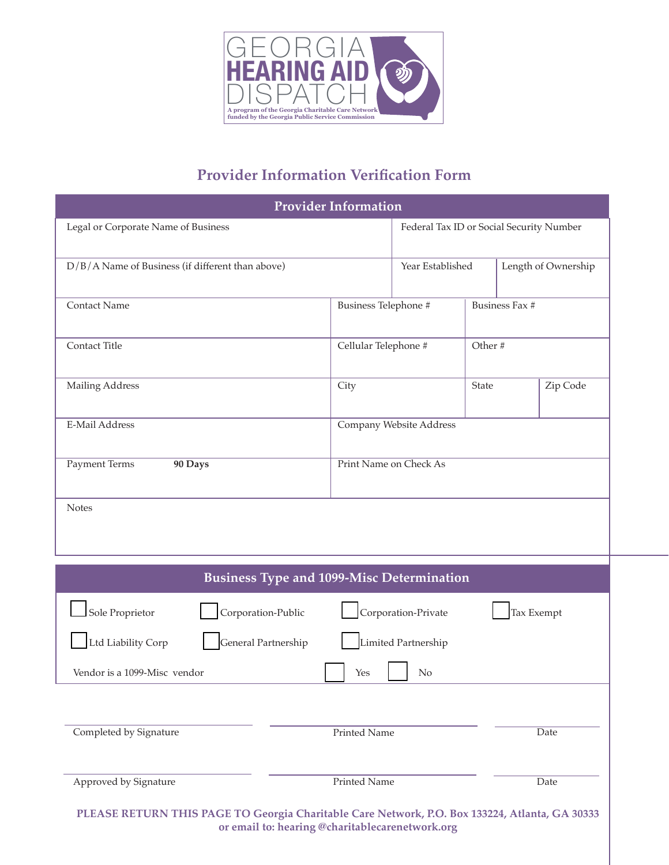

# **Provider Information Verification Form**

| <b>Provider Information</b>                                                                    |                                   |                                          |  |                     |  |
|------------------------------------------------------------------------------------------------|-----------------------------------|------------------------------------------|--|---------------------|--|
| Legal or Corporate Name of Business                                                            |                                   | Federal Tax ID or Social Security Number |  |                     |  |
| D/B/A Name of Business (if different than above)                                               |                                   | Year Established                         |  | Length of Ownership |  |
| <b>Contact Name</b>                                                                            | Business Telephone #              |                                          |  | Business Fax #      |  |
| Contact Title                                                                                  | Cellular Telephone #              |                                          |  | Other#              |  |
| <b>Mailing Address</b>                                                                         | City                              |                                          |  | Zip Code            |  |
| <b>E-Mail Address</b>                                                                          | Company Website Address           |                                          |  |                     |  |
| <b>Payment Terms</b><br>90 Days                                                                | Print Name on Check As            |                                          |  |                     |  |
| <b>Notes</b>                                                                                   |                                   |                                          |  |                     |  |
| <b>Business Type and 1099-Misc Determination</b>                                               |                                   |                                          |  |                     |  |
| Sole Proprietor<br>Corporation-Public                                                          | Corporation-Private<br>Tax Exempt |                                          |  |                     |  |
| Ltd Liability Corp<br>General Partnership                                                      |                                   | Limited Partnership                      |  |                     |  |
| Vendor is a 1099-Misc vendor                                                                   | Yes                               | N <sub>o</sub>                           |  |                     |  |
| Completed by Signature                                                                         | Printed Name<br>Date              |                                          |  |                     |  |
| Approved by Signature                                                                          | Printed Name                      |                                          |  | Date                |  |
| PLEASE RETURN THIS PAGE TO Georgia Charitable Care Network, P.O. Box 133224, Atlanta, GA 30333 |                                   |                                          |  |                     |  |

**or email to: hearing @charitablecarenetwork.org**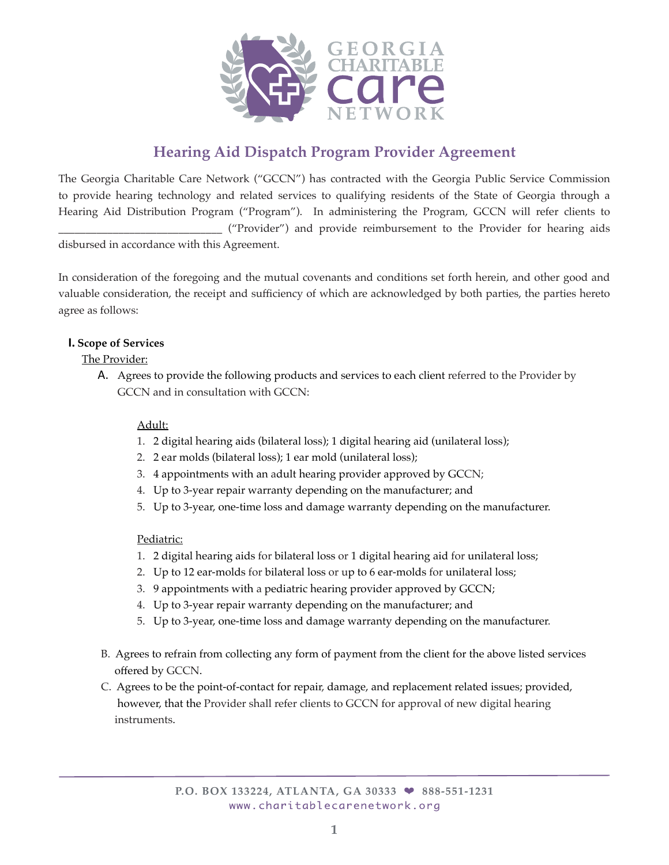

# **Hearing Aid Dispatch Program Provider Agreement**

The Georgia Charitable Care Network ("GCCN") has contracted with the Georgia Public Service Commission to provide hearing technology and related services to qualifying residents of the State of Georgia through a Hearing Aid Distribution Program ("Program"). In administering the Program, GCCN will refer clients to \_\_\_\_\_\_\_\_\_\_\_\_\_\_\_\_\_\_\_\_\_\_\_\_\_\_\_\_\_\_ ("Provider") and provide reimbursement to the Provider for hearing aids

disbursed in accordance with this Agreement.

In consideration of the foregoing and the mutual covenants and conditions set forth herein, and other good and valuable consideration, the receipt and sufficiency of which are acknowledged by both parties, the parties hereto agree as follows:

#### **I. Scope of Services**

# The Provider:

A. Agrees to provide the following products and services to each client referred to the Provider by GCCN and in consultation with GCCN:

# Adult:

- 1. 2 digital hearing aids (bilateral loss); 1 digital hearing aid (unilateral loss);
- 2. 2 ear molds (bilateral loss); 1 ear mold (unilateral loss);
- 3. 4 appointments with an adult hearing provider approved by GCCN;
- 4. Up to 3-year repair warranty depending on the manufacturer; and
- 5. Up to 3-year, one-time loss and damage warranty depending on the manufacturer.

#### Pediatric:

- 1. 2 digital hearing aids for bilateral loss or 1 digital hearing aid for unilateral loss;
- 2. Up to 12 ear-molds for bilateral loss or up to 6 ear-molds for unilateral loss;
- 3. 9 appointments with a pediatric hearing provider approved by GCCN;
- 4. Up to 3-year repair warranty depending on the manufacturer; and
- 5. Up to 3-year, one-time loss and damage warranty depending on the manufacturer.
- B. Agrees to refrain from collecting any form of payment from the client for the above listed services offered by GCCN.
- C. Agrees to be the point-of-contact for repair, damage, and replacement related issues; provided, however, that the Provider shall refer clients to GCCN for approval of new digital hearing instruments.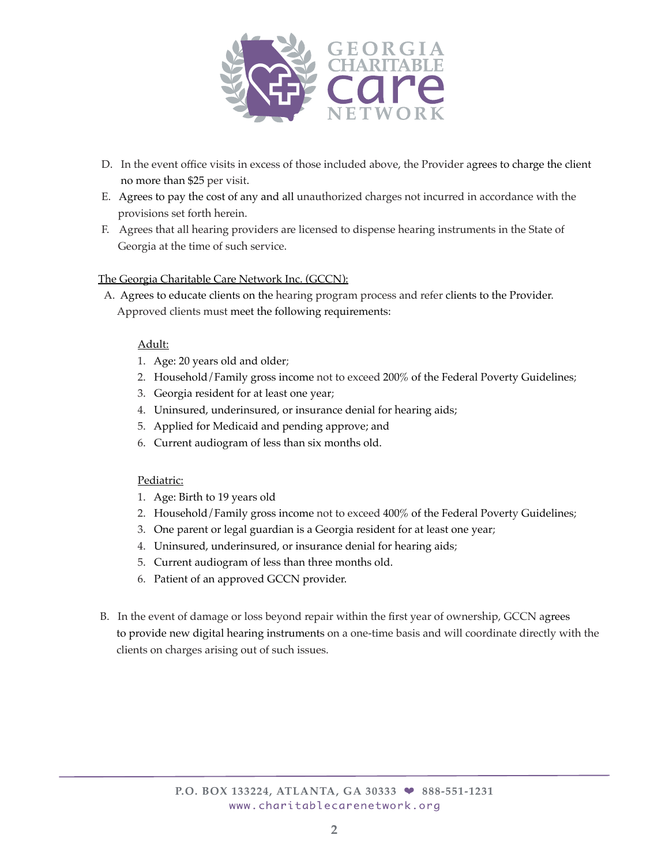

- D. In the event office visits in excess of those included above, the Provider agrees to charge the client no more than \$25 per visit.
- E. Agrees to pay the cost of any and all unauthorized charges not incurred in accordance with the provisions set forth herein.
- F. Agrees that all hearing providers are licensed to dispense hearing instruments in the State of Georgia at the time of such service.

#### The Georgia Charitable Care Network Inc. (GCCN):

A. Agrees to educate clients on the hearing program process and refer clients to the Provider. Approved clients must meet the following requirements:

#### Adult:

- 1. Age: 20 years old and older;
- 2. Household/Family gross income not to exceed 200% of the Federal Poverty Guidelines;
- 3. Georgia resident for at least one year;
- 4. Uninsured, underinsured, or insurance denial for hearing aids;
- 5. Applied for Medicaid and pending approve; and
- 6. Current audiogram of less than six months old.

#### Pediatric:

- 1. Age: Birth to 19 years old
- 2. Household/Family gross income not to exceed 400% of the Federal Poverty Guidelines;
- 3. One parent or legal guardian is a Georgia resident for at least one year;
- 4. Uninsured, underinsured, or insurance denial for hearing aids;
- 5. Current audiogram of less than three months old.
- 6. Patient of an approved GCCN provider.
- B. In the event of damage or loss beyond repair within the first year of ownership, GCCN agrees to provide new digital hearing instruments on a one-time basis and will coordinate directly with the clients on charges arising out of such issues.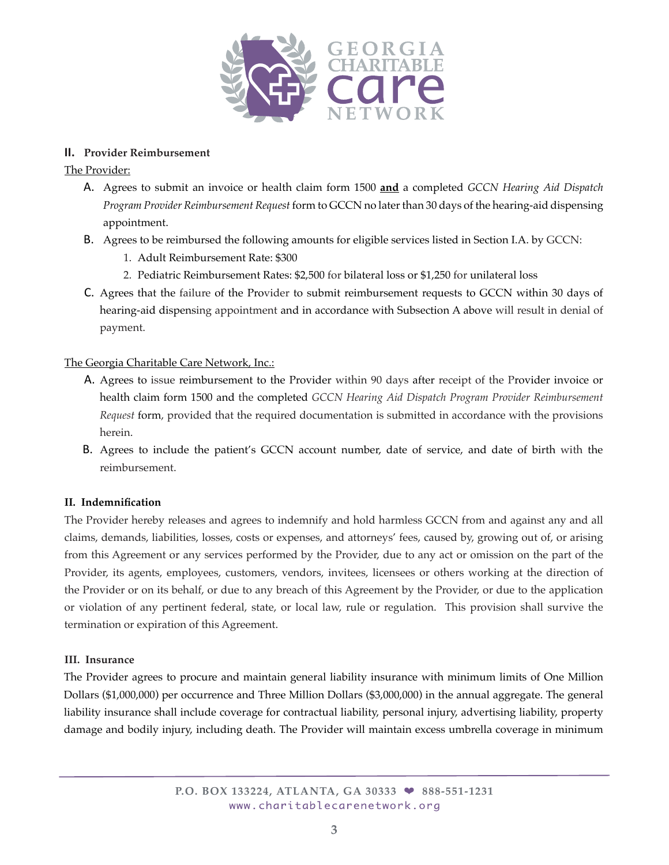

#### **II. Provider Reimbursement**

#### The Provider:

- A. Agrees to submit an invoice or health claim form 1500 **and** a completed *GCCN Hearing Aid Dispatch Program Provider Reimbursement Request* form to GCCN no later than 30 days of the hearing-aid dispensing appointment.
- B. Agrees to be reimbursed the following amounts for eligible services listed in Section I.A. by GCCN:
	- 1. Adult Reimbursement Rate: \$300
	- 2. Pediatric Reimbursement Rates: \$2,500 for bilateral loss or \$1,250 for unilateral loss
- C. Agrees that the failure of the Provider to submit reimbursement requests to GCCN within 30 days of hearing-aid dispensing appointment and in accordance with Subsection A above will result in denial of payment.

#### The Georgia Charitable Care Network, Inc.:

- A. Agrees to issue reimbursement to the Provider within 90 days after receipt of the Provider invoice or health claim form 1500 and the completed *GCCN Hearing Aid Dispatch Program Provider Reimbursement Request* form, provided that the required documentation is submitted in accordance with the provisions herein.
- B. Agrees to include the patient's GCCN account number, date of service, and date of birth with the reimbursement.

#### **II. Indemnification**

The Provider hereby releases and agrees to indemnify and hold harmless GCCN from and against any and all claims, demands, liabilities, losses, costs or expenses, and attorneys' fees, caused by, growing out of, or arising from this Agreement or any services performed by the Provider, due to any act or omission on the part of the Provider, its agents, employees, customers, vendors, invitees, licensees or others working at the direction of the Provider or on its behalf, or due to any breach of this Agreement by the Provider, or due to the application or violation of any pertinent federal, state, or local law, rule or regulation. This provision shall survive the termination or expiration of this Agreement.

#### **III. Insurance**

The Provider agrees to procure and maintain general liability insurance with minimum limits of One Million Dollars (\$1,000,000) per occurrence and Three Million Dollars (\$3,000,000) in the annual aggregate. The general liability insurance shall include coverage for contractual liability, personal injury, advertising liability, property damage and bodily injury, including death. The Provider will maintain excess umbrella coverage in minimum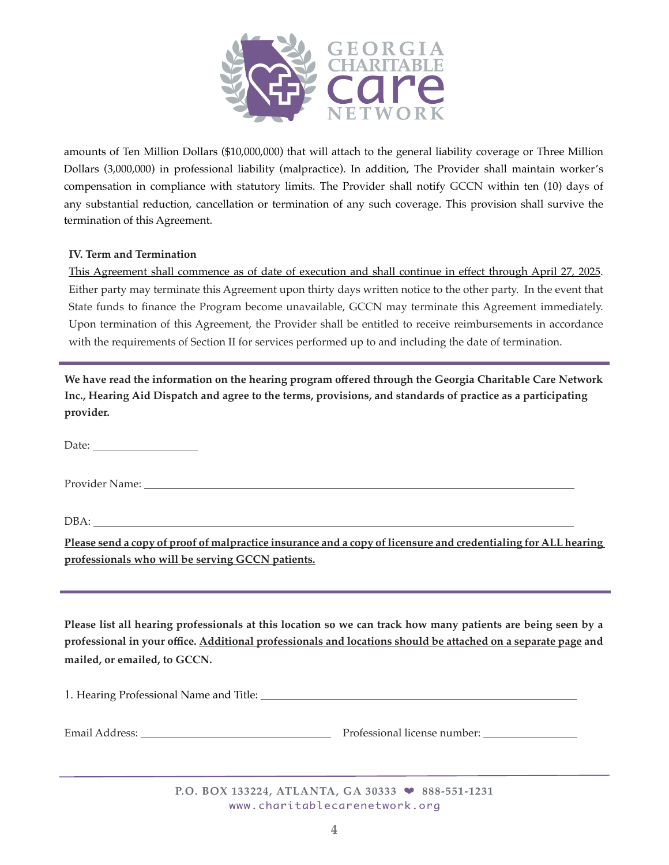

amounts of Ten Million Dollars (\$10,000,000) that will attach to the general liability coverage or Three Million Dollars (3,000,000) in professional liability (malpractice). In addition, The Provider shall maintain worker's compensation in compliance with statutory limits. The Provider shall notify GCCN within ten (10) days of any substantial reduction, cancellation or termination of any such coverage. This provision shall survive the termination of this Agreement.

#### **IV. Term and Termination**

This Agreement shall commence as of date of execution and shall continue in effect through April 27, 2025. Either party may terminate this Agreement upon thirty days written notice to the other party. In the event that State funds to finance the Program become unavailable, GCCN may terminate this Agreement immediately. Upon termination of this Agreement, the Provider shall be entitled to receive reimbursements in accordance with the requirements of Section II for services performed up to and including the date of termination.

**We have read the information on the hearing program offered through the Georgia Charitable Care Network Inc., Hearing Aid Dispatch and agree to the terms, provisions, and standards of practice as a participating provider.**

Date:

Provider Name:

DBA:

**Please send a copy of proof of malpractice insurance and a copy of licensure and credentialing for ALL hearing professionals who will be serving GCCN patients.**

**Please list all hearing professionals at this location so we can track how many patients are being seen by a professional in your office. Additional professionals and locations should be attached on a separate page and mailed, or emailed, to GCCN.**

1. Hearing Professional Name and Title:

Email Address: Professional license number:

**P.O. BOX 133224, ATLANTA, GA 30333** ❤ **888-551-1231** www.charitablecarenetwork.org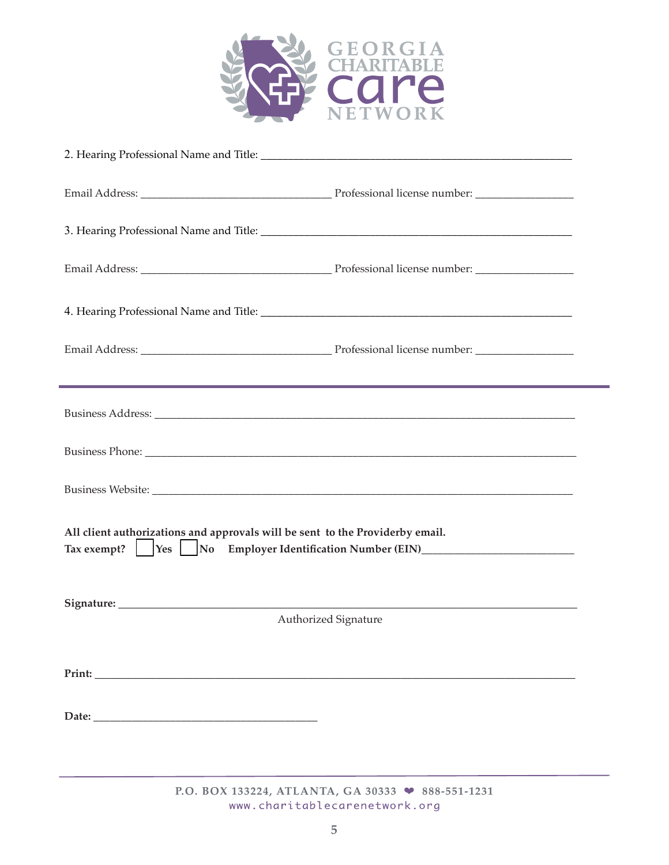

|                                                                                                                                                                                                                               | <u> 1989 - Jan Samuel Barbara, marka a shekara ta 1989 - An tsara tsara tsara tsara tsara tsara tsara tsara tsar</u> |  |  |  |
|-------------------------------------------------------------------------------------------------------------------------------------------------------------------------------------------------------------------------------|----------------------------------------------------------------------------------------------------------------------|--|--|--|
|                                                                                                                                                                                                                               |                                                                                                                      |  |  |  |
|                                                                                                                                                                                                                               |                                                                                                                      |  |  |  |
| Business Website: New York: New York: New York: New York: New York: New York: New York: New York: New York: New York: New York: New York: New York: New York: New York: New York: New York: New York: New York: New York: New |                                                                                                                      |  |  |  |
| All client authorizations and approvals will be sent to the Providerby email.<br>Tax exempt?    Yes    No Employer Identification Number (EIN)                                                                                |                                                                                                                      |  |  |  |
|                                                                                                                                                                                                                               | Authorized Signature                                                                                                 |  |  |  |
|                                                                                                                                                                                                                               |                                                                                                                      |  |  |  |
|                                                                                                                                                                                                                               |                                                                                                                      |  |  |  |
|                                                                                                                                                                                                                               |                                                                                                                      |  |  |  |
|                                                                                                                                                                                                                               |                                                                                                                      |  |  |  |
|                                                                                                                                                                                                                               |                                                                                                                      |  |  |  |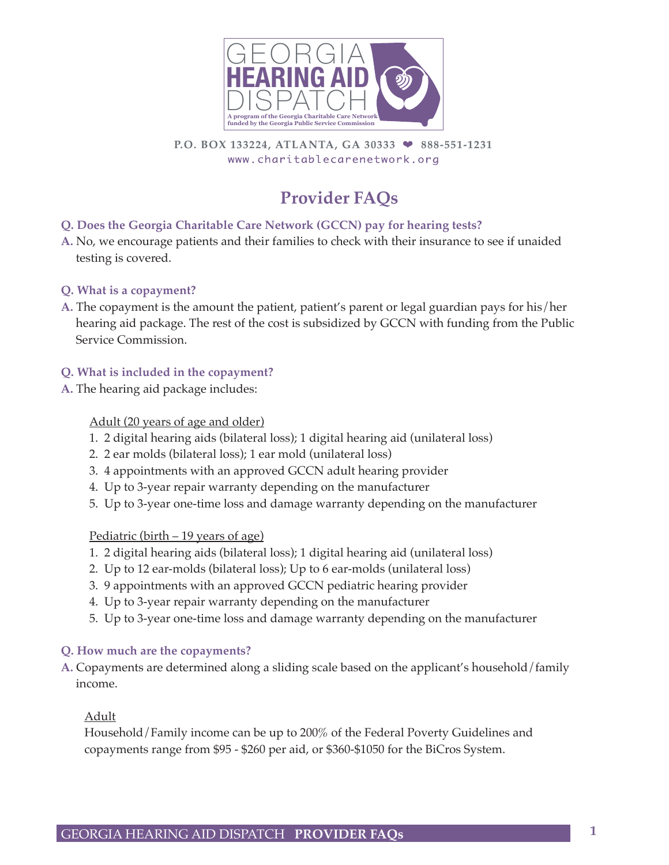

**P.O. BOX 133224, ATLANTA, GA 30333** ❤ **888-551-1231**www.charitablecarenetwork.org

# **Provider FAQs**

# **Q. Does the Georgia Charitable Care Network (GCCN) pay for hearing tests?**

**A.** No, we encourage patients and their families to check with their insurance to see if unaided testing is covered.

# **Q. What is a copayment?**

**A.** The copayment is the amount the patient, patient's parent or legal guardian pays for his/her hearing aid package. The rest of the cost is subsidized by GCCN with funding from the Public Service Commission.

# **Q. What is included in the copayment?**

**A.** The hearing aid package includes:

# Adult (20 years of age and older)

- 1. 2 digital hearing aids (bilateral loss); 1 digital hearing aid (unilateral loss)
- 2. 2 ear molds (bilateral loss); 1 ear mold (unilateral loss)
- 3. 4 appointments with an approved GCCN adult hearing provider
- 4. Up to 3-year repair warranty depending on the manufacturer
- 5. Up to 3-year one-time loss and damage warranty depending on the manufacturer

#### Pediatric (birth – 19 years of age)

- 1. 2 digital hearing aids (bilateral loss); 1 digital hearing aid (unilateral loss)
- 2. Up to 12 ear-molds (bilateral loss); Up to 6 ear-molds (unilateral loss)
- 3. 9 appointments with an approved GCCN pediatric hearing provider
- 4. Up to 3-year repair warranty depending on the manufacturer
- 5. Up to 3-year one-time loss and damage warranty depending on the manufacturer

#### **Q. How much are the copayments?**

**A.** Copayments are determined along a sliding scale based on the applicant's household/family income.

#### Adult

Household/Family income can be up to 200% of the Federal Poverty Guidelines and copayments range from \$95 - \$260 per aid, or \$360-\$1050 for the BiCros System.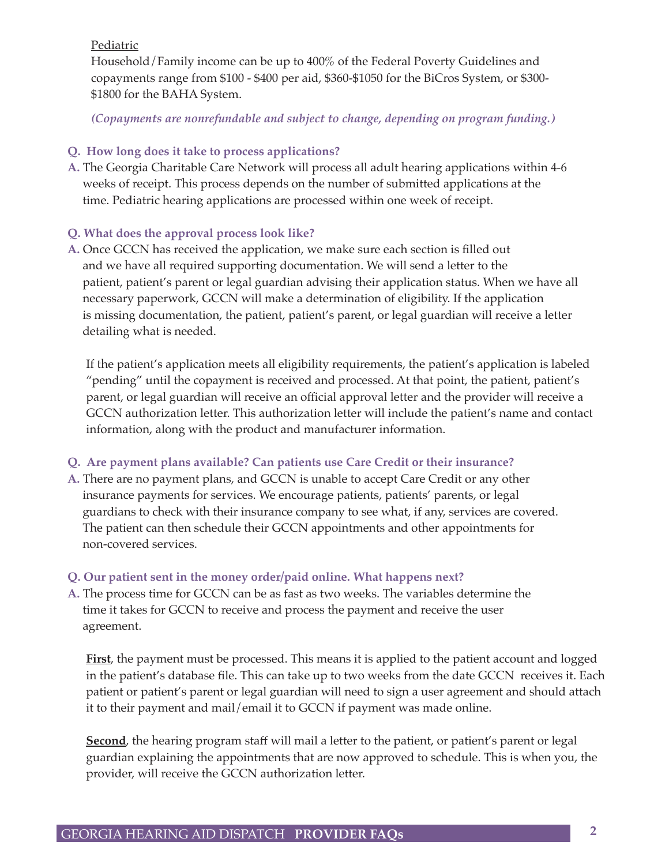Pediatric

Household/Family income can be up to 400% of the Federal Poverty Guidelines and copayments range from \$100 - \$400 per aid, \$360-\$1050 for the BiCros System, or \$300- \$1800 for the BAHA System.

*(Copayments are nonrefundable and subject to change, depending on program funding.)*

# **Q. How long does it take to process applications?**

**A.** The Georgia Charitable Care Network will process all adult hearing applications within 4-6 weeks of receipt. This process depends on the number of submitted applications at the time. Pediatric hearing applications are processed within one week of receipt.

# **Q. What does the approval process look like?**

**A.** Once GCCN has received the application, we make sure each section is filled out and we have all required supporting documentation. We will send a letter to the patient, patient's parent or legal guardian advising their application status. When we have all necessary paperwork, GCCN will make a determination of eligibility. If the application is missing documentation, the patient, patient's parent, or legal guardian will receive a letter detailing what is needed.

If the patient's application meets all eligibility requirements, the patient's application is labeled "pending" until the copayment is received and processed. At that point, the patient, patient's parent, or legal guardian will receive an official approval letter and the provider will receive a GCCN authorization letter. This authorization letter will include the patient's name and contact information, along with the product and manufacturer information.

# **Q. Are payment plans available? Can patients use Care Credit or their insurance?**

**A.** There are no payment plans, and GCCN is unable to accept Care Credit or any other insurance payments for services. We encourage patients, patients' parents, or legal guardians to check with their insurance company to see what, if any, services are covered. The patient can then schedule their GCCN appointments and other appointments for non-covered services.

# **Q. Our patient sent in the money order/paid online. What happens next?**

**A.** The process time for GCCN can be as fast as two weeks. The variables determine the time it takes for GCCN to receive and process the payment and receive the user agreement.

**First**, the payment must be processed. This means it is applied to the patient account and logged in the patient's database file. This can take up to two weeks from the date GCCN receives it. Each patient or patient's parent or legal guardian will need to sign a user agreement and should attach it to their payment and mail/email it to GCCN if payment was made online.

**Second**, the hearing program staff will mail a letter to the patient, or patient's parent or legal guardian explaining the appointments that are now approved to schedule. This is when you, the provider, will receive the GCCN authorization letter.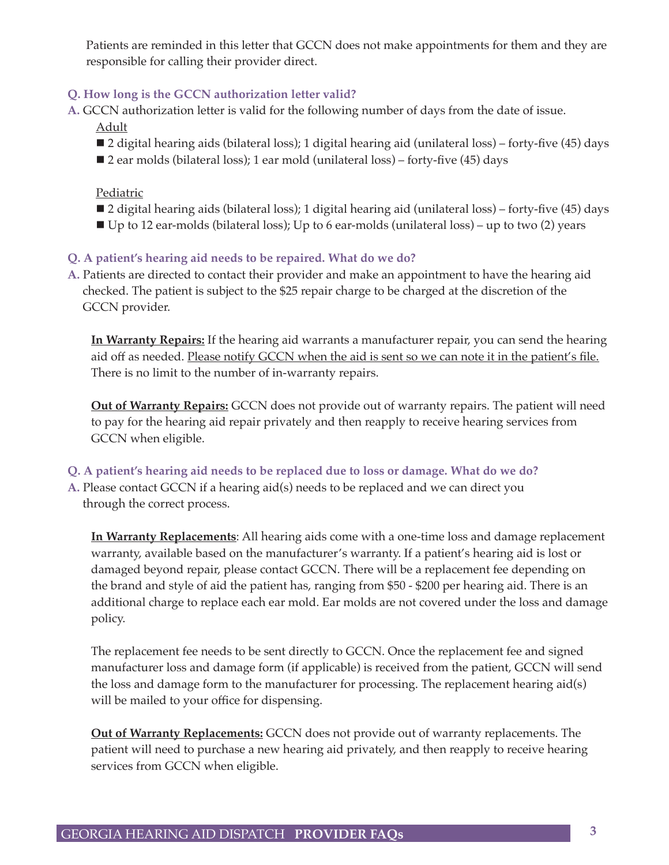Patients are reminded in this letter that GCCN does not make appointments for them and they are responsible for calling their provider direct.

# **Q. How long is the GCCN authorization letter valid?**

**A.** GCCN authorization letter is valid for the following number of days from the date of issue. Adult

- 2 digital hearing aids (bilateral loss); 1 digital hearing aid (unilateral loss) forty-five (45) days
- 2 ear molds (bilateral loss); 1 ear mold (unilateral loss) forty-five (45) days

#### Pediatric

- 2 digital hearing aids (bilateral loss); 1 digital hearing aid (unilateral loss) forty-five (45) days
- $\blacksquare$  Up to 12 ear-molds (bilateral loss); Up to 6 ear-molds (unilateral loss) up to two (2) years

#### **Q. A patient's hearing aid needs to be repaired. What do we do?**

**A.** Patients are directed to contact their provider and make an appointment to have the hearing aid checked. The patient is subject to the \$25 repair charge to be charged at the discretion of the GCCN provider.

**In Warranty Repairs:** If the hearing aid warrants a manufacturer repair, you can send the hearing aid off as needed. Please notify GCCN when the aid is sent so we can note it in the patient's file. There is no limit to the number of in-warranty repairs.

**Out of Warranty Repairs:** GCCN does not provide out of warranty repairs. The patient will need to pay for the hearing aid repair privately and then reapply to receive hearing services from GCCN when eligible.

#### **Q. A patient's hearing aid needs to be replaced due to loss or damage. What do we do?**

**A.** Please contact GCCN if a hearing aid(s) needs to be replaced and we can direct you through the correct process.

**In Warranty Replacements**: All hearing aids come with a one-time loss and damage replacement warranty, available based on the manufacturer's warranty. If a patient's hearing aid is lost or damaged beyond repair, please contact GCCN. There will be a replacement fee depending on the brand and style of aid the patient has, ranging from \$50 - \$200 per hearing aid. There is an additional charge to replace each ear mold. Ear molds are not covered under the loss and damage policy.

The replacement fee needs to be sent directly to GCCN. Once the replacement fee and signed manufacturer loss and damage form (if applicable) is received from the patient, GCCN will send the loss and damage form to the manufacturer for processing. The replacement hearing aid(s) will be mailed to your office for dispensing.

**Out of Warranty Replacements:** GCCN does not provide out of warranty replacements. The patient will need to purchase a new hearing aid privately, and then reapply to receive hearing services from GCCN when eligible.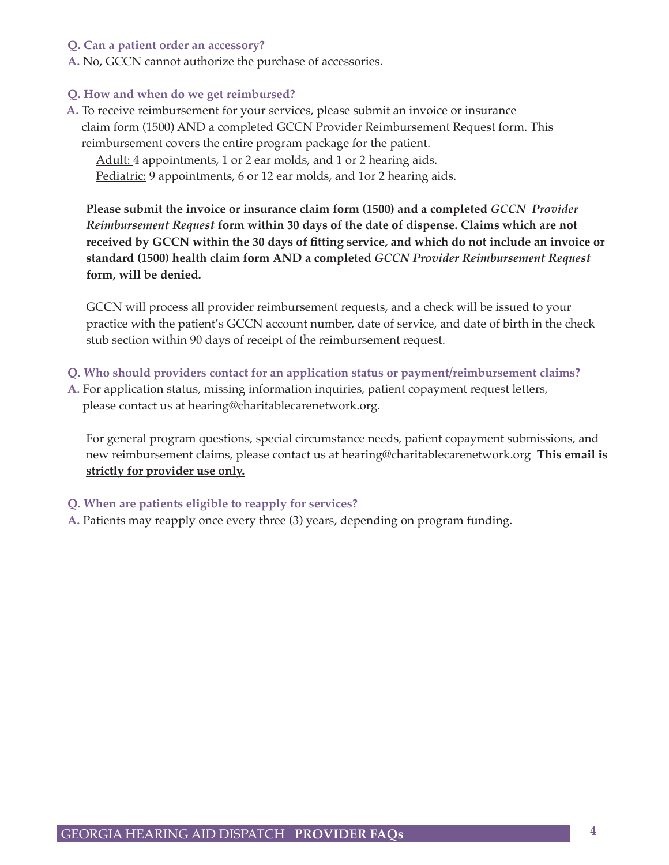#### **Q. Can a patient order an accessory?**

**A.** No, GCCN cannot authorize the purchase of accessories.

#### **Q. How and when do we get reimbursed?**

**A.** To receive reimbursement for your services, please submit an invoice or insurance claim form (1500) AND a completed GCCN Provider Reimbursement Request form. This reimbursement covers the entire program package for the patient.

Adult: 4 appointments, 1 or 2 ear molds, and 1 or 2 hearing aids.

Pediatric: 9 appointments, 6 or 12 ear molds, and 1 or 2 hearing aids.

**Please submit the invoice or insurance claim form (1500) and a completed** *GCCN Provider Reimbursement Request* **form within 30 days of the date of dispense. Claims which are not received by GCCN within the 30 days of fitting service, and which do not include an invoice or standard (1500) health claim form AND a completed** *GCCN Provider Reimbursement Request* **form, will be denied.**

GCCN will process all provider reimbursement requests, and a check will be issued to your practice with the patient's GCCN account number, date of service, and date of birth in the check stub section within 90 days of receipt of the reimbursement request.

- **Q. Who should providers contact for an application status or payment/reimbursement claims?**
- **A.** For application status, missing information inquiries, patient copayment request letters, please contact us at hearing@charitablecarenetwork.org.

For general program questions, special circumstance needs, patient copayment submissions, and new reimbursement claims, please contact us at hearing@charitablecarenetwork.org **This email is strictly for provider use only.**

#### **Q. When are patients eligible to reapply for services?**

**A.** Patients may reapply once every three (3) years, depending on program funding.